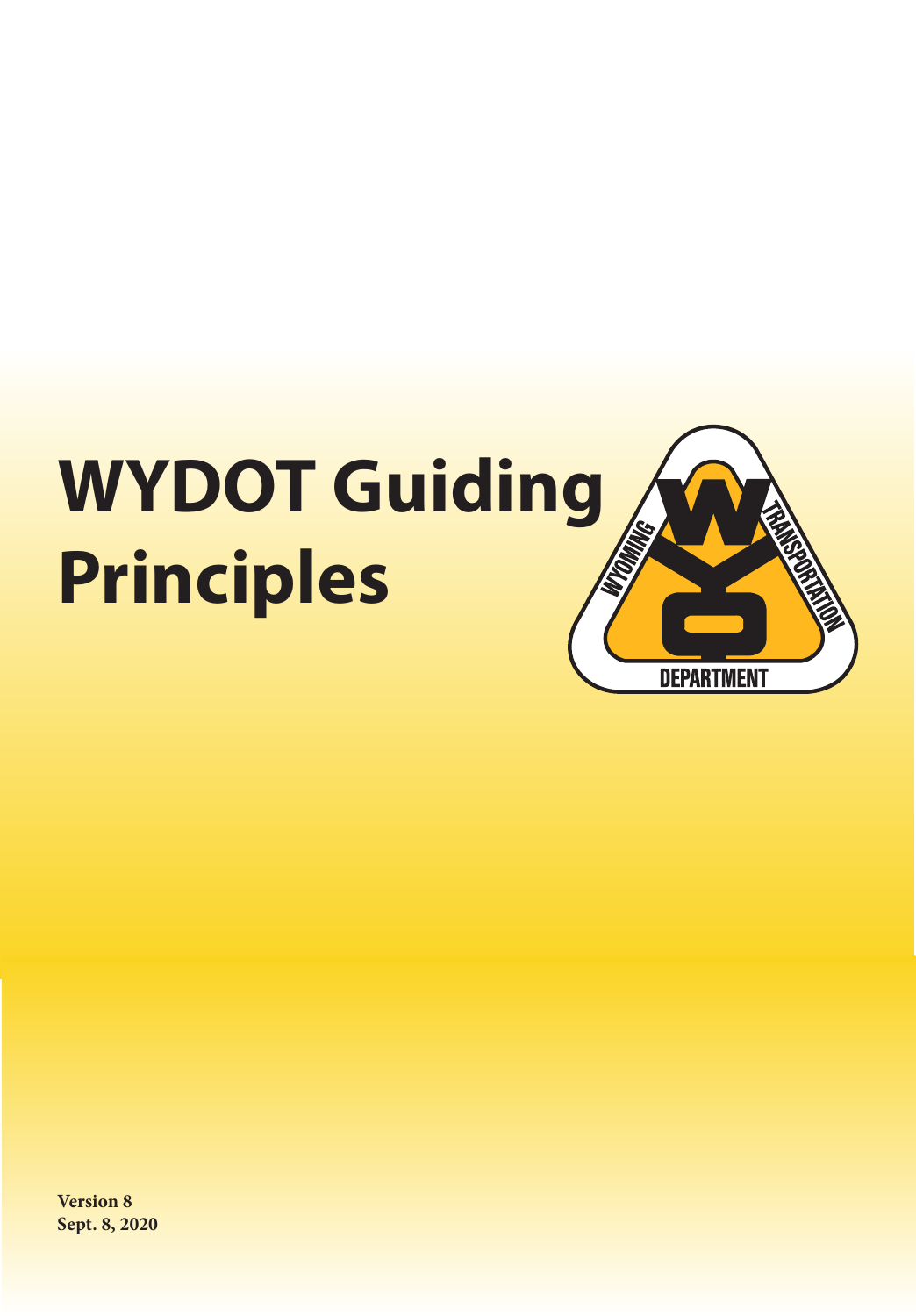

**Version 8 Sept. 8, 2020**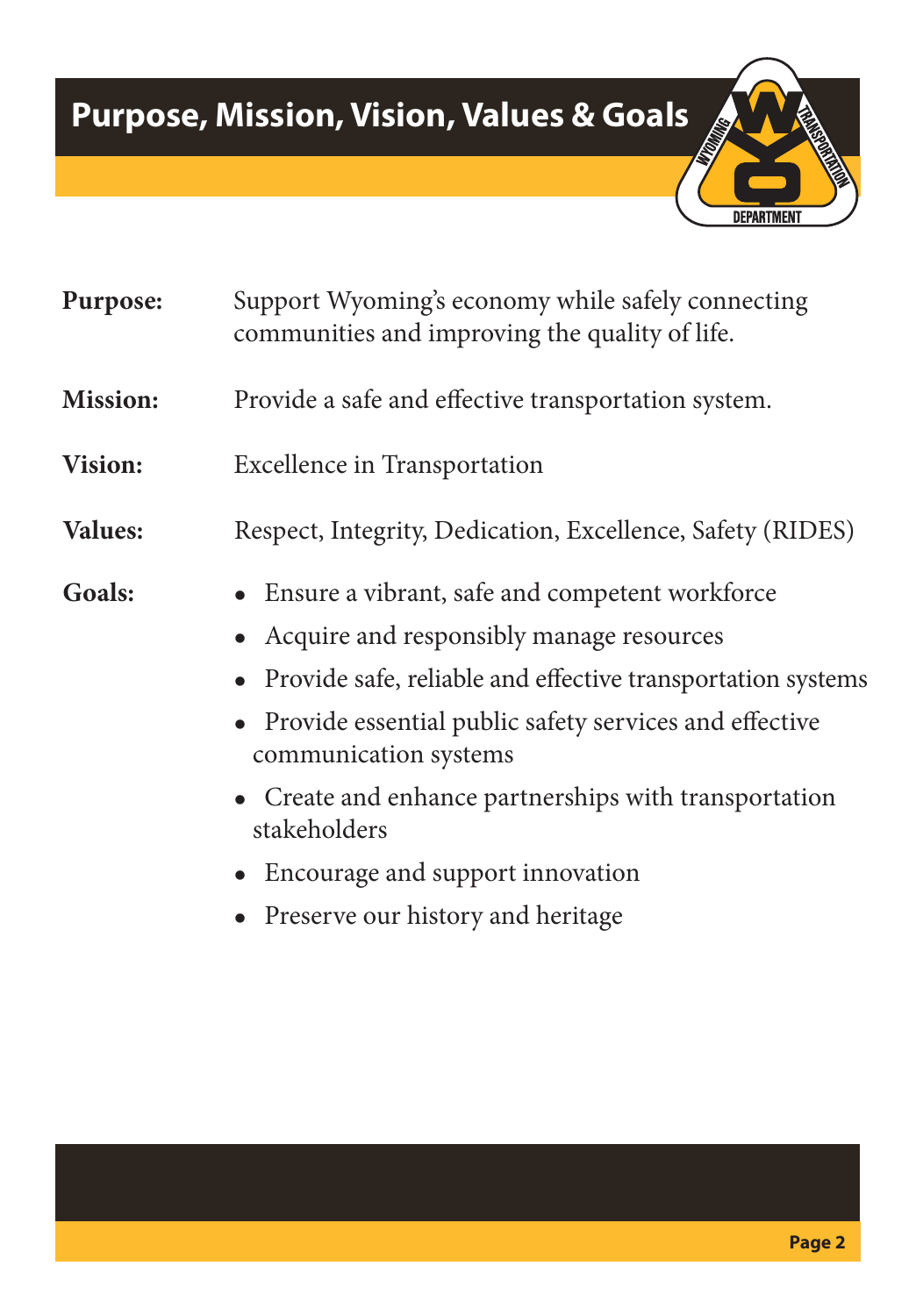# **Purpose, Mission, Vision, Values & Goals**



**Purpose:** Support Wyoming's economy while safely connecting communities and improving the quality of life.

- **Mission:** Provide a safe and effective transportation system.
- **Vision:** Excellence in Transportation
- **Values:** Respect, Integrity, Dedication, Excellence, Safety (RIDES)

- Goals: Ensure a vibrant, safe and competent workforce
	- Acquire and responsibly manage resources
	- Provide safe, reliable and effective transportation systems
	- Provide essential public safety services and effective communication systems
	- Create and enhance partnerships with transportation stakeholders
	- <sup>l</sup> Encourage and support innovation
	- Preserve our history and heritage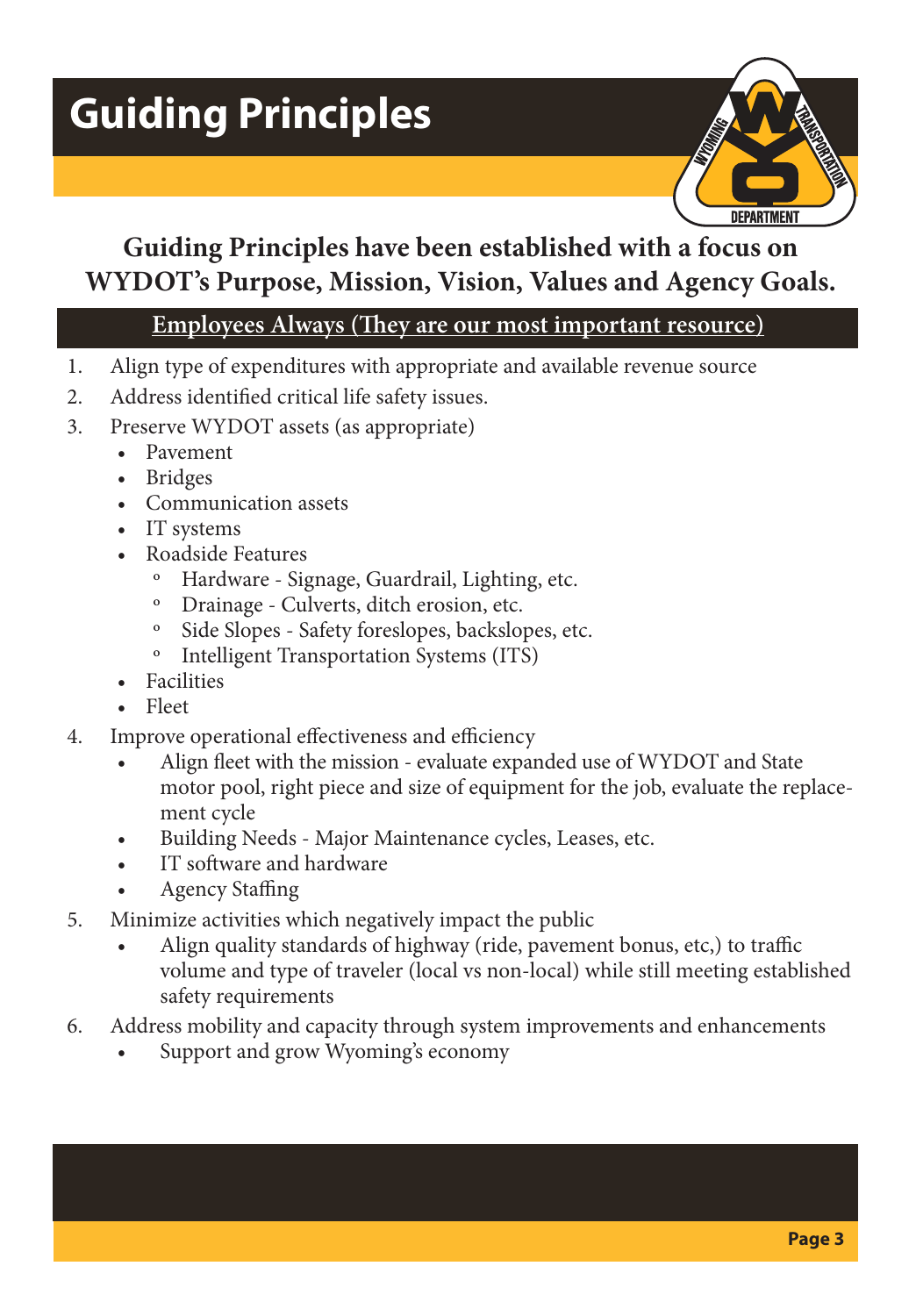# **Guiding Principles**



## **Guiding Principles have been established with a focus on WYDOT's Purpose, Mission, Vision, Values and Agency Goals.**

#### **Employees Always (They are our most important resource)**

- 1. Align type of expenditures with appropriate and available revenue source
- 2. Address identified critical life safety issues.
- 3. Preserve WYDOT assets (as appropriate)
	- Pavement
	- Bridges
	- Communication assets
	- IT systems
	- Roadside Features
		- Hardware Signage, Guardrail, Lighting, etc.
		- º Drainage Culverts, ditch erosion, etc.
		- Side Slopes Safety foreslopes, backslopes, etc.
		- º Intelligent Transportation Systems (ITS)
	- **Facilities**
	- Fleet
- 4. Improve operational effectiveness and efficiency
	- Align fleet with the mission evaluate expanded use of WYDOT and State motor pool, right piece and size of equipment for the job, evaluate the replacement cycle
	- Building Needs Major Maintenance cycles, Leases, etc.
	- IT software and hardware
	- Agency Staffing
- 5. Minimize activities which negatively impact the public
	- Align quality standards of highway (ride, pavement bonus, etc,) to traffic volume and type of traveler (local vs non-local) while still meeting established safety requirements
- 6. Address mobility and capacity through system improvements and enhancements
	- Support and grow Wyoming's economy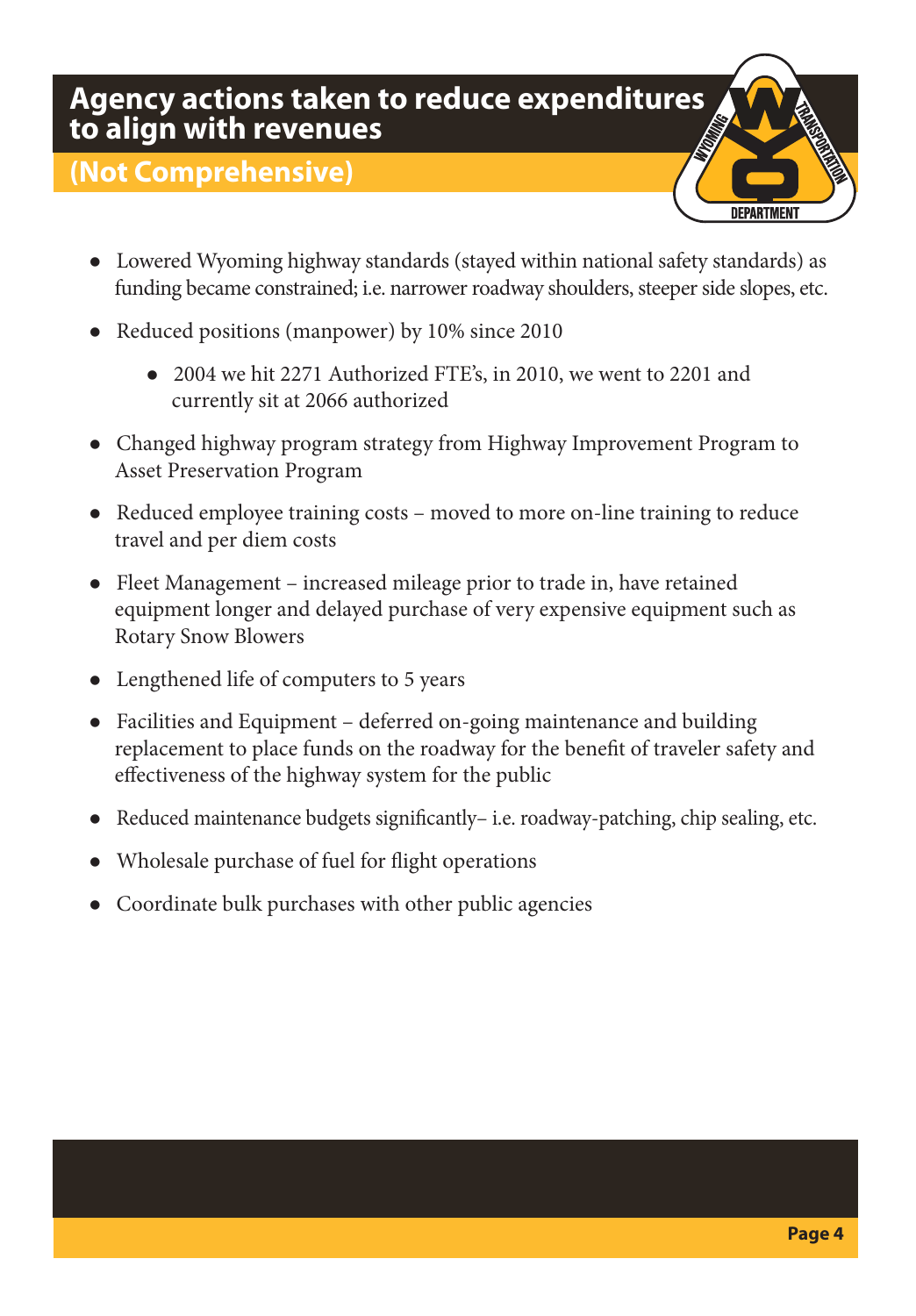#### **Agency actions taken to reduce expenditures to align with revenues**

#### **(Not Comprehensive)**



- Lowered Wyoming highway standards (stayed within national safety standards) as funding became constrained; i.e. narrower roadway shoulders, steeper side slopes, etc.
- Reduced positions (manpower) by 10% since 2010
	- 2004 we hit 2271 Authorized FTE's, in 2010, we went to 2201 and currently sit at 2066 authorized
- Changed highway program strategy from Highway Improvement Program to Asset Preservation Program
- Reduced employee training costs moved to more on-line training to reduce travel and per diem costs
- Fleet Management increased mileage prior to trade in, have retained equipment longer and delayed purchase of very expensive equipment such as Rotary Snow Blowers
- Lengthened life of computers to 5 years
- Facilities and Equipment deferred on-going maintenance and building replacement to place funds on the roadway for the benefit of traveler safety and effectiveness of the highway system for the public
- Reduced maintenance budgets significantly– i.e. roadway-patching, chip sealing, etc.
- Wholesale purchase of fuel for flight operations
- Coordinate bulk purchases with other public agencies